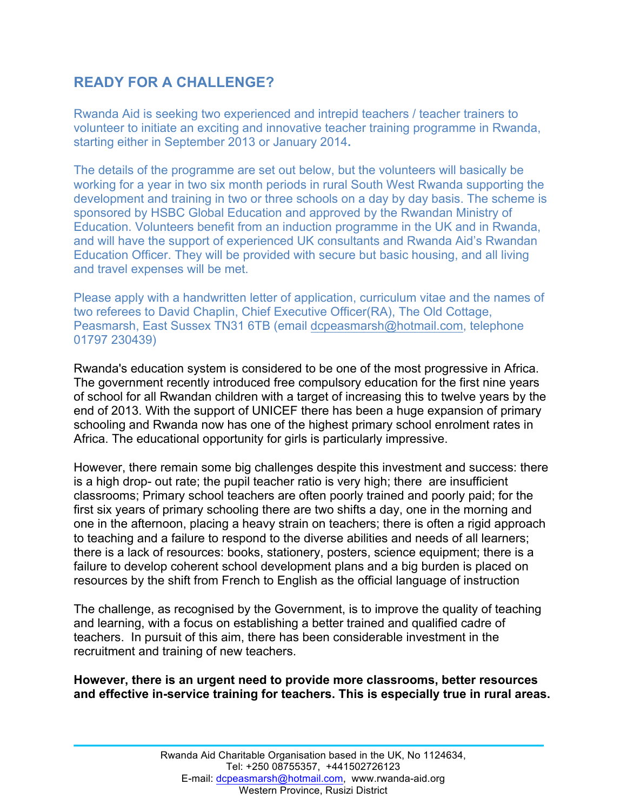## **READY FOR A CHALLENGE?**

Rwanda Aid is seeking two experienced and intrepid teachers / teacher trainers to volunteer to initiate an exciting and innovative teacher training programme in Rwanda, starting either in September 2013 or January 2014**.**

The details of the programme are set out below, but the volunteers will basically be working for a year in two six month periods in rural South West Rwanda supporting the development and training in two or three schools on a day by day basis. The scheme is sponsored by HSBC Global Education and approved by the Rwandan Ministry of Education. Volunteers benefit from an induction programme in the UK and in Rwanda, and will have the support of experienced UK consultants and Rwanda Aid's Rwandan Education Officer. They will be provided with secure but basic housing, and all living and travel expenses will be met.

Please apply with a handwritten letter of application, curriculum vitae and the names of two referees to David Chaplin, Chief Executive Officer(RA), The Old Cottage, Peasmarsh, East Sussex TN31 6TB (email dcpeasmarsh@hotmail.com, telephone 01797 230439)

Rwanda's education system is considered to be one of the most progressive in Africa. The government recently introduced free compulsory education for the first nine years of school for all Rwandan children with a target of increasing this to twelve years by the end of 2013. With the support of UNICEF there has been a huge expansion of primary schooling and Rwanda now has one of the highest primary school enrolment rates in Africa. The educational opportunity for girls is particularly impressive.

However, there remain some big challenges despite this investment and success: there is a high drop- out rate; the pupil teacher ratio is very high; there are insufficient classrooms; Primary school teachers are often poorly trained and poorly paid; for the first six years of primary schooling there are two shifts a day, one in the morning and one in the afternoon, placing a heavy strain on teachers; there is often a rigid approach to teaching and a failure to respond to the diverse abilities and needs of all learners; there is a lack of resources: books, stationery, posters, science equipment; there is a failure to develop coherent school development plans and a big burden is placed on resources by the shift from French to English as the official language of instruction

The challenge, as recognised by the Government, is to improve the quality of teaching and learning, with a focus on establishing a better trained and qualified cadre of teachers. In pursuit of this aim, there has been considerable investment in the recruitment and training of new teachers.

**However, there is an urgent need to provide more classrooms, better resources and effective in-service training for teachers. This is especially true in rural areas.**